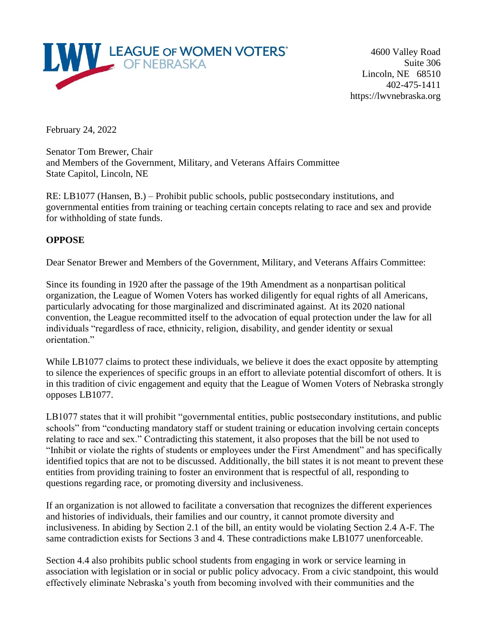

4600 Valley Road Suite 306 Lincoln, NE 68510 402-475-1411 https://lwvnebraska.org

February 24, 2022

Senator Tom Brewer, Chair and Members of the Government, Military, and Veterans Affairs Committee State Capitol, Lincoln, NE

RE: LB1077 (Hansen, B.) – Prohibit public schools, public postsecondary institutions, and governmental entities from training or teaching certain concepts relating to race and sex and provide for withholding of state funds.

## **OPPOSE**

Dear Senator Brewer and Members of the Government, Military, and Veterans Affairs Committee:

Since its founding in 1920 after the passage of the 19th Amendment as a nonpartisan political organization, the League of Women Voters has worked diligently for equal rights of all Americans, particularly advocating for those marginalized and discriminated against. At its 2020 national convention, the League recommitted itself to the advocation of equal protection under the law for all individuals "regardless of race, ethnicity, religion, disability, and gender identity or sexual orientation."

While LB1077 claims to protect these individuals, we believe it does the exact opposite by attempting to silence the experiences of specific groups in an effort to alleviate potential discomfort of others. It is in this tradition of civic engagement and equity that the League of Women Voters of Nebraska strongly opposes LB1077.

LB1077 states that it will prohibit "governmental entities, public postsecondary institutions, and public schools" from "conducting mandatory staff or student training or education involving certain concepts relating to race and sex." Contradicting this statement, it also proposes that the bill be not used to "Inhibit or violate the rights of students or employees under the First Amendment" and has specifically identified topics that are not to be discussed. Additionally, the bill states it is not meant to prevent these entities from providing training to foster an environment that is respectful of all, responding to questions regarding race, or promoting diversity and inclusiveness.

If an organization is not allowed to facilitate a conversation that recognizes the different experiences and histories of individuals, their families and our country, it cannot promote diversity and inclusiveness. In abiding by Section 2.1 of the bill, an entity would be violating Section 2.4 A-F. The same contradiction exists for Sections 3 and 4. These contradictions make LB1077 unenforceable.

Section 4.4 also prohibits public school students from engaging in work or service learning in association with legislation or in social or public policy advocacy. From a civic standpoint, this would effectively eliminate Nebraska's youth from becoming involved with their communities and the